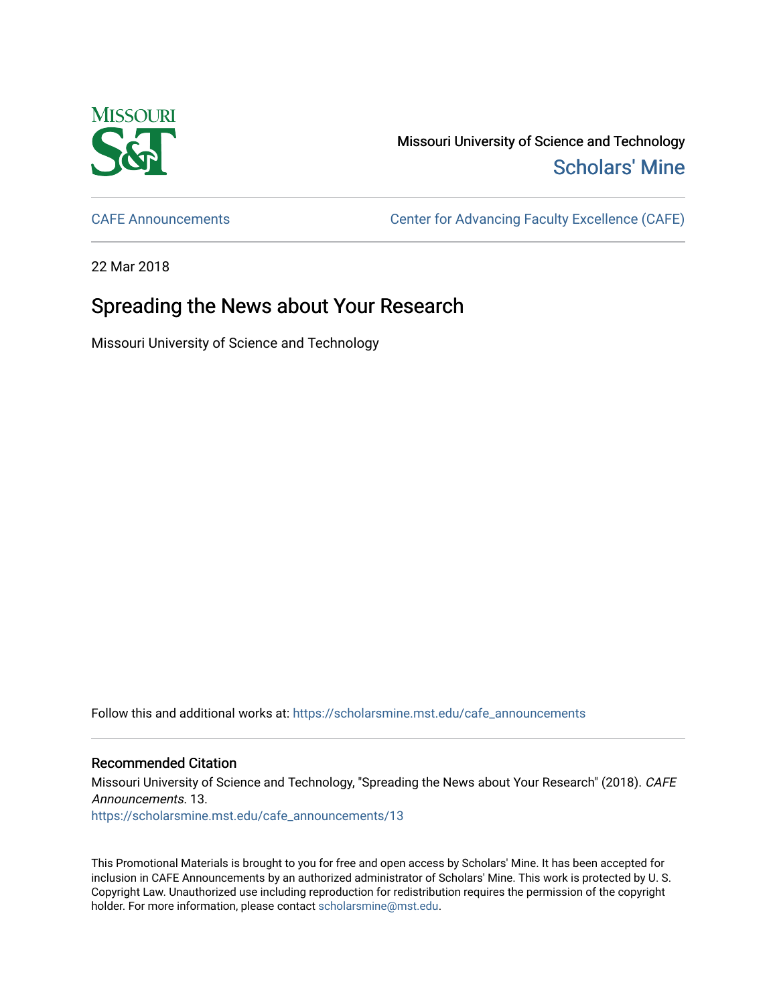

Missouri University of Science and Technology [Scholars' Mine](https://scholarsmine.mst.edu/) 

[CAFE Announcements](https://scholarsmine.mst.edu/cafe_announcements) [Center for Advancing Faculty Excellence \(CAFE\)](https://scholarsmine.mst.edu/cafe) 

22 Mar 2018

## Spreading the News about Your Research

Missouri University of Science and Technology

Follow this and additional works at: [https://scholarsmine.mst.edu/cafe\\_announcements](https://scholarsmine.mst.edu/cafe_announcements?utm_source=scholarsmine.mst.edu%2Fcafe_announcements%2F13&utm_medium=PDF&utm_campaign=PDFCoverPages) 

## Recommended Citation

Missouri University of Science and Technology, "Spreading the News about Your Research" (2018). CAFE Announcements. 13. [https://scholarsmine.mst.edu/cafe\\_announcements/13](https://scholarsmine.mst.edu/cafe_announcements/13?utm_source=scholarsmine.mst.edu%2Fcafe_announcements%2F13&utm_medium=PDF&utm_campaign=PDFCoverPages)

This Promotional Materials is brought to you for free and open access by Scholars' Mine. It has been accepted for inclusion in CAFE Announcements by an authorized administrator of Scholars' Mine. This work is protected by U. S. Copyright Law. Unauthorized use including reproduction for redistribution requires the permission of the copyright holder. For more information, please contact [scholarsmine@mst.edu.](mailto:scholarsmine@mst.edu)